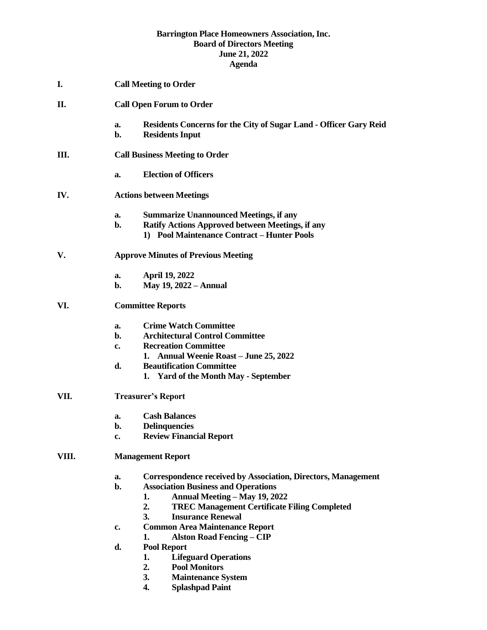#### **Barrington Place Homeowners Association, Inc. Board of Directors Meeting June 21, 2022 Agenda**

- **I. Call Meeting to Order**
- **II. Call Open Forum to Order**
	- **a. Residents Concerns for the City of Sugar Land - Officer Gary Reid**
	- **b. Residents Input**
- **III. Call Business Meeting to Order**
	- **a. Election of Officers**

### **IV. Actions between Meetings**

- **a. Summarize Unannounced Meetings, if any**
- **b. Ratify Actions Approved between Meetings, if any 1) Pool Maintenance Contract – Hunter Pools**

### **V. Approve Minutes of Previous Meeting**

- **a. April 19, 2022**
- **b. May 19, 2022 – Annual**

### **VI. Committee Reports**

- **a. Crime Watch Committee**
- **b. Architectural Control Committee**
- **c. Recreation Committee**
	- **1. Annual Weenie Roast – June 25, 2022**
- **d. Beautification Committee**
	- **1. Yard of the Month May - September**

# **VII. Treasurer's Report**

- **a. Cash Balances**
- **b. Delinquencies**
- **c. Review Financial Report**

# **VIII. Management Report**

- **a. Correspondence received by Association, Directors, Management**
- **b. Association Business and Operations**
	- **1. Annual Meeting – May 19, 2022**
	- **2. TREC Management Certificate Filing Completed**
	- **3. Insurance Renewal**
- **c. Common Area Maintenance Report**
	- **1. Alston Road Fencing – CIP**
- **d. Pool Report**
	- **1. Lifeguard Operations**
	- **2. Pool Monitors**
	- **3. Maintenance System**
	- **4. Splashpad Paint**